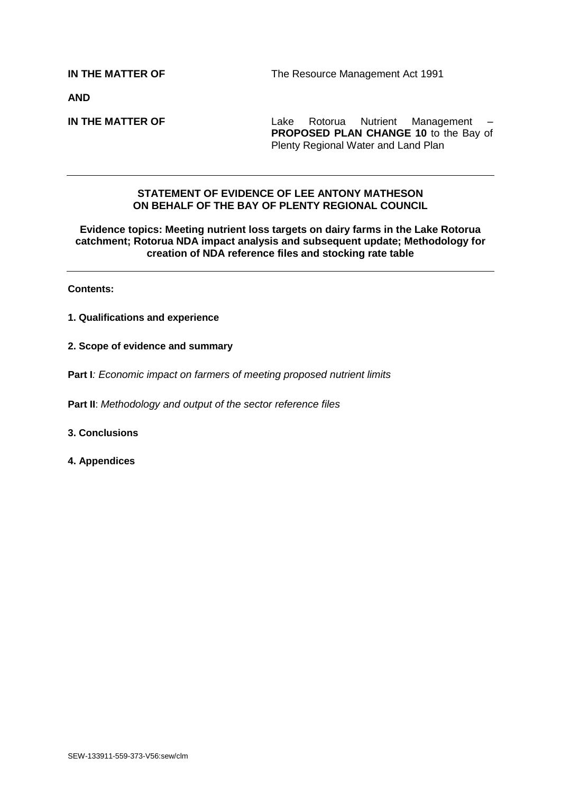**AND**

**IN THE MATTER OF Lake Rotorua Nutrient Management – PROPOSED PLAN CHANGE 10** to the Bay of Plenty Regional Water and Land Plan

## **STATEMENT OF EVIDENCE OF LEE ANTONY MATHESON ON BEHALF OF THE BAY OF PLENTY REGIONAL COUNCIL**

**Evidence topics: Meeting nutrient loss targets on dairy farms in the Lake Rotorua catchment; Rotorua NDA impact analysis and subsequent update; Methodology for creation of NDA reference files and stocking rate table**

**Contents:**

- **1. Qualifications and experience**
- **2. Scope of evidence and summary**
- **Part I***: Economic impact on farmers of meeting proposed nutrient limits*

**Part II**: *Methodology and output of the sector reference files*

#### **3. Conclusions**

**4. Appendices**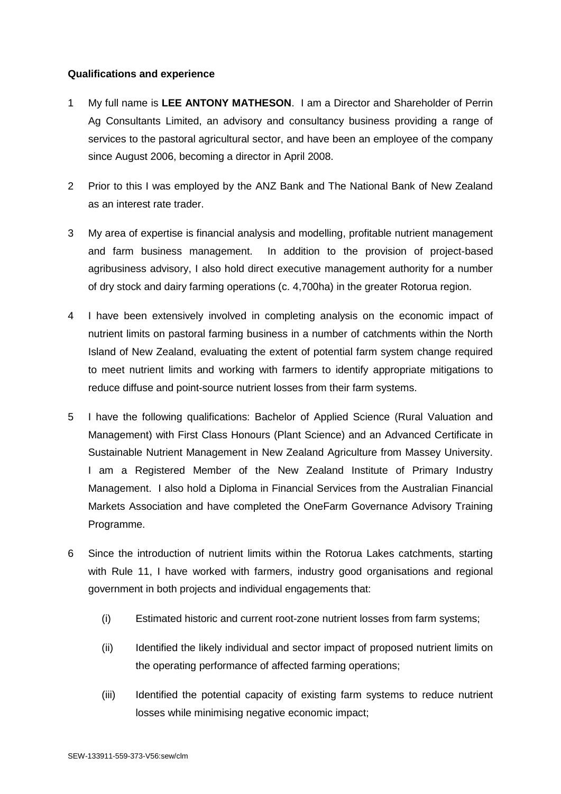# **Qualifications and experience**

- 1 My full name is **LEE ANTONY MATHESON**. I am a Director and Shareholder of Perrin Ag Consultants Limited, an advisory and consultancy business providing a range of services to the pastoral agricultural sector, and have been an employee of the company since August 2006, becoming a director in April 2008.
- 2 Prior to this I was employed by the ANZ Bank and The National Bank of New Zealand as an interest rate trader.
- 3 My area of expertise is financial analysis and modelling, profitable nutrient management and farm business management. In addition to the provision of project-based agribusiness advisory, I also hold direct executive management authority for a number of dry stock and dairy farming operations (c. 4,700ha) in the greater Rotorua region.
- 4 I have been extensively involved in completing analysis on the economic impact of nutrient limits on pastoral farming business in a number of catchments within the North Island of New Zealand, evaluating the extent of potential farm system change required to meet nutrient limits and working with farmers to identify appropriate mitigations to reduce diffuse and point-source nutrient losses from their farm systems.
- 5 I have the following qualifications: Bachelor of Applied Science (Rural Valuation and Management) with First Class Honours (Plant Science) and an Advanced Certificate in Sustainable Nutrient Management in New Zealand Agriculture from Massey University. I am a Registered Member of the New Zealand Institute of Primary Industry Management. I also hold a Diploma in Financial Services from the Australian Financial Markets Association and have completed the OneFarm Governance Advisory Training Programme.
- 6 Since the introduction of nutrient limits within the Rotorua Lakes catchments, starting with Rule 11, I have worked with farmers, industry good organisations and regional government in both projects and individual engagements that:
	- (i) Estimated historic and current root-zone nutrient losses from farm systems;
	- (ii) Identified the likely individual and sector impact of proposed nutrient limits on the operating performance of affected farming operations;
	- (iii) Identified the potential capacity of existing farm systems to reduce nutrient losses while minimising negative economic impact;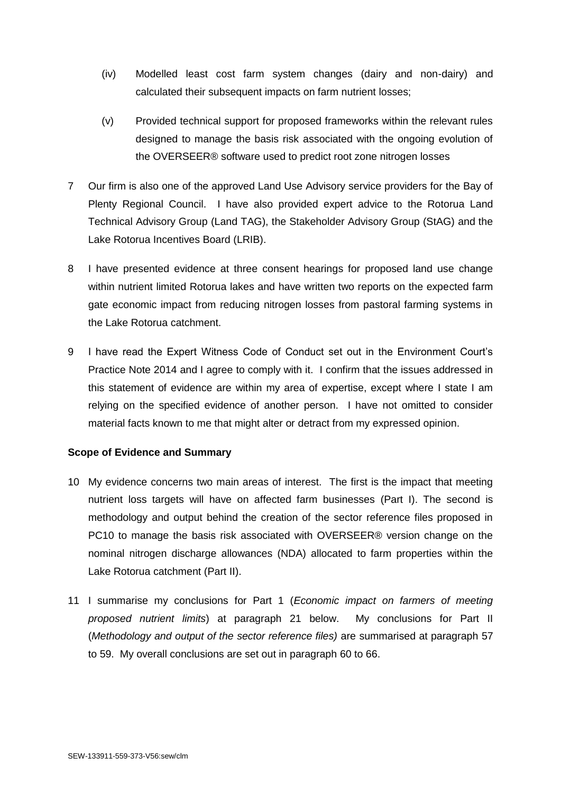- (iv) Modelled least cost farm system changes (dairy and non-dairy) and calculated their subsequent impacts on farm nutrient losses;
- (v) Provided technical support for proposed frameworks within the relevant rules designed to manage the basis risk associated with the ongoing evolution of the OVERSEER® software used to predict root zone nitrogen losses
- 7 Our firm is also one of the approved Land Use Advisory service providers for the Bay of Plenty Regional Council. I have also provided expert advice to the Rotorua Land Technical Advisory Group (Land TAG), the Stakeholder Advisory Group (StAG) and the Lake Rotorua Incentives Board (LRIB).
- 8 I have presented evidence at three consent hearings for proposed land use change within nutrient limited Rotorua lakes and have written two reports on the expected farm gate economic impact from reducing nitrogen losses from pastoral farming systems in the Lake Rotorua catchment.
- 9 I have read the Expert Witness Code of Conduct set out in the Environment Court's Practice Note 2014 and I agree to comply with it. I confirm that the issues addressed in this statement of evidence are within my area of expertise, except where I state I am relying on the specified evidence of another person. I have not omitted to consider material facts known to me that might alter or detract from my expressed opinion.

## **Scope of Evidence and Summary**

- 10 My evidence concerns two main areas of interest. The first is the impact that meeting nutrient loss targets will have on affected farm businesses (Part I). The second is methodology and output behind the creation of the sector reference files proposed in PC10 to manage the basis risk associated with OVERSEER® version change on the nominal nitrogen discharge allowances (NDA) allocated to farm properties within the Lake Rotorua catchment (Part II).
- 11 I summarise my conclusions for Part 1 (*Economic impact on farmers of meeting proposed nutrient limits*) at paragraph 21 below. My conclusions for Part II (*Methodology and output of the sector reference files)* are summarised at paragraph 57 to 59. My overall conclusions are set out in paragraph 60 to 66.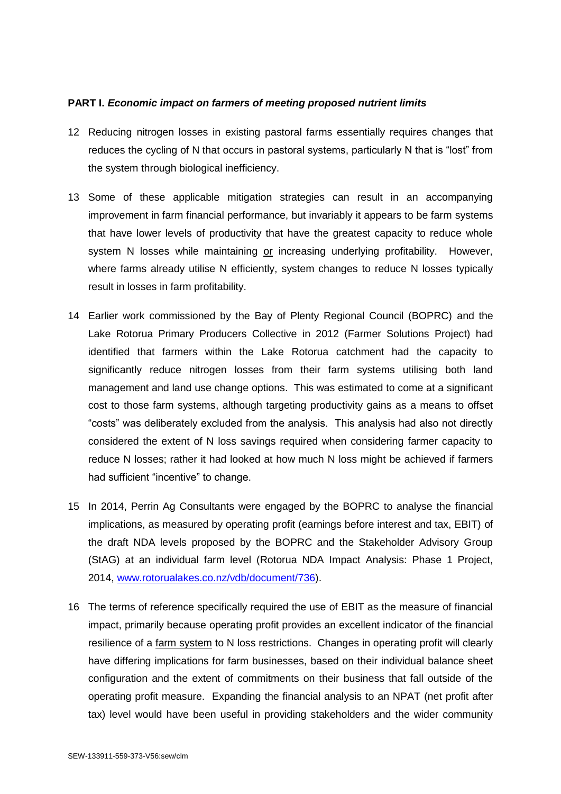### **PART I.** *Economic impact on farmers of meeting proposed nutrient limits*

- 12 Reducing nitrogen losses in existing pastoral farms essentially requires changes that reduces the cycling of N that occurs in pastoral systems, particularly N that is "lost" from the system through biological inefficiency.
- 13 Some of these applicable mitigation strategies can result in an accompanying improvement in farm financial performance, but invariably it appears to be farm systems that have lower levels of productivity that have the greatest capacity to reduce whole system N losses while maintaining or increasing underlying profitability. However, where farms already utilise N efficiently, system changes to reduce N losses typically result in losses in farm profitability.
- 14 Earlier work commissioned by the Bay of Plenty Regional Council (BOPRC) and the Lake Rotorua Primary Producers Collective in 2012 (Farmer Solutions Project) had identified that farmers within the Lake Rotorua catchment had the capacity to significantly reduce nitrogen losses from their farm systems utilising both land management and land use change options. This was estimated to come at a significant cost to those farm systems, although targeting productivity gains as a means to offset "costs" was deliberately excluded from the analysis. This analysis had also not directly considered the extent of N loss savings required when considering farmer capacity to reduce N losses; rather it had looked at how much N loss might be achieved if farmers had sufficient "incentive" to change.
- 15 In 2014, Perrin Ag Consultants were engaged by the BOPRC to analyse the financial implications, as measured by operating profit (earnings before interest and tax, EBIT) of the draft NDA levels proposed by the BOPRC and the Stakeholder Advisory Group (StAG) at an individual farm level (Rotorua NDA Impact Analysis: Phase 1 Project, 2014, [www.rotorualakes.co.nz/vdb/document/736\)](http://www.rotorualakes.co.nz/vdb/document/736).
- 16 The terms of reference specifically required the use of EBIT as the measure of financial impact, primarily because operating profit provides an excellent indicator of the financial resilience of a farm system to N loss restrictions. Changes in operating profit will clearly have differing implications for farm businesses, based on their individual balance sheet configuration and the extent of commitments on their business that fall outside of the operating profit measure. Expanding the financial analysis to an NPAT (net profit after tax) level would have been useful in providing stakeholders and the wider community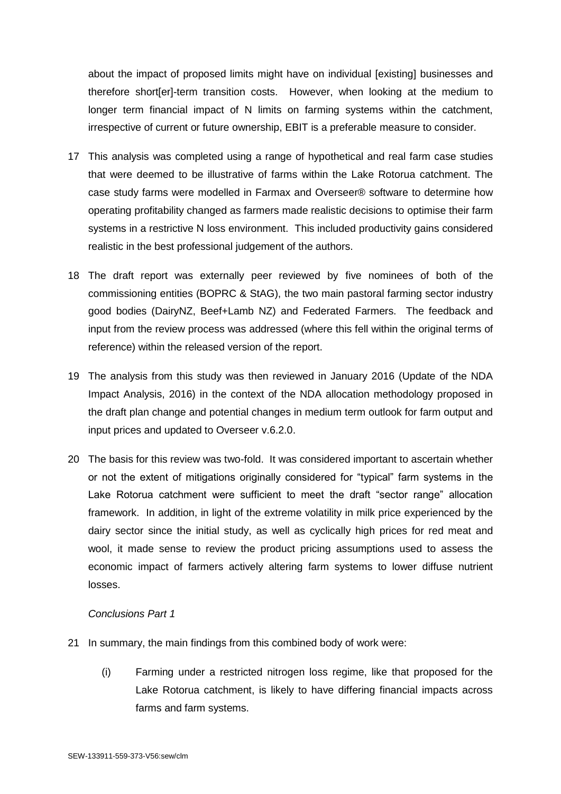about the impact of proposed limits might have on individual [existing] businesses and therefore short[er]-term transition costs. However, when looking at the medium to longer term financial impact of N limits on farming systems within the catchment, irrespective of current or future ownership, EBIT is a preferable measure to consider.

- 17 This analysis was completed using a range of hypothetical and real farm case studies that were deemed to be illustrative of farms within the Lake Rotorua catchment. The case study farms were modelled in Farmax and Overseer® software to determine how operating profitability changed as farmers made realistic decisions to optimise their farm systems in a restrictive N loss environment. This included productivity gains considered realistic in the best professional judgement of the authors.
- 18 The draft report was externally peer reviewed by five nominees of both of the commissioning entities (BOPRC & StAG), the two main pastoral farming sector industry good bodies (DairyNZ, Beef+Lamb NZ) and Federated Farmers. The feedback and input from the review process was addressed (where this fell within the original terms of reference) within the released version of the report.
- 19 The analysis from this study was then reviewed in January 2016 (Update of the NDA Impact Analysis, 2016) in the context of the NDA allocation methodology proposed in the draft plan change and potential changes in medium term outlook for farm output and input prices and updated to Overseer v.6.2.0.
- 20 The basis for this review was two-fold. It was considered important to ascertain whether or not the extent of mitigations originally considered for "typical" farm systems in the Lake Rotorua catchment were sufficient to meet the draft "sector range" allocation framework. In addition, in light of the extreme volatility in milk price experienced by the dairy sector since the initial study, as well as cyclically high prices for red meat and wool, it made sense to review the product pricing assumptions used to assess the economic impact of farmers actively altering farm systems to lower diffuse nutrient losses.

## *Conclusions Part 1*

- 21 In summary, the main findings from this combined body of work were:
	- (i) Farming under a restricted nitrogen loss regime, like that proposed for the Lake Rotorua catchment, is likely to have differing financial impacts across farms and farm systems.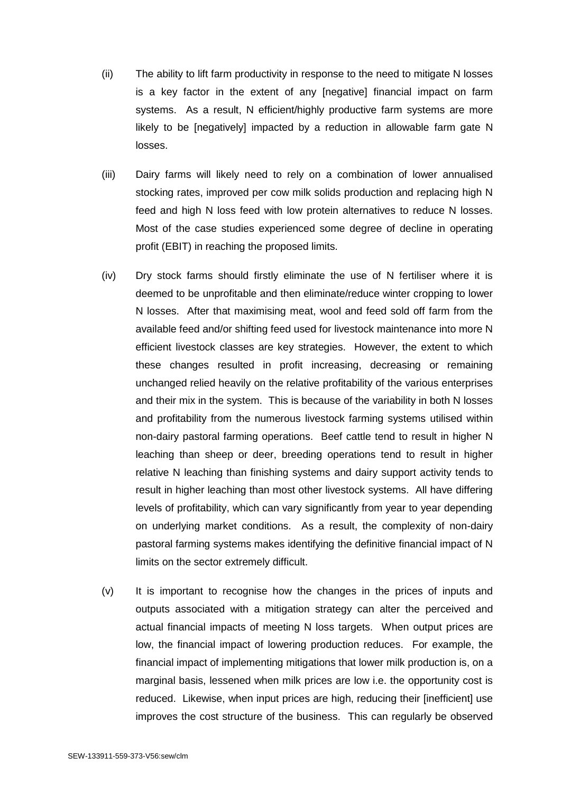- (ii) The ability to lift farm productivity in response to the need to mitigate N losses is a key factor in the extent of any [negative] financial impact on farm systems. As a result, N efficient/highly productive farm systems are more likely to be [negatively] impacted by a reduction in allowable farm gate N losses.
- (iii) Dairy farms will likely need to rely on a combination of lower annualised stocking rates, improved per cow milk solids production and replacing high N feed and high N loss feed with low protein alternatives to reduce N losses. Most of the case studies experienced some degree of decline in operating profit (EBIT) in reaching the proposed limits.
- (iv) Dry stock farms should firstly eliminate the use of N fertiliser where it is deemed to be unprofitable and then eliminate/reduce winter cropping to lower N losses. After that maximising meat, wool and feed sold off farm from the available feed and/or shifting feed used for livestock maintenance into more N efficient livestock classes are key strategies. However, the extent to which these changes resulted in profit increasing, decreasing or remaining unchanged relied heavily on the relative profitability of the various enterprises and their mix in the system. This is because of the variability in both N losses and profitability from the numerous livestock farming systems utilised within non-dairy pastoral farming operations. Beef cattle tend to result in higher N leaching than sheep or deer, breeding operations tend to result in higher relative N leaching than finishing systems and dairy support activity tends to result in higher leaching than most other livestock systems. All have differing levels of profitability, which can vary significantly from year to year depending on underlying market conditions. As a result, the complexity of non-dairy pastoral farming systems makes identifying the definitive financial impact of N limits on the sector extremely difficult.
- (v) It is important to recognise how the changes in the prices of inputs and outputs associated with a mitigation strategy can alter the perceived and actual financial impacts of meeting N loss targets. When output prices are low, the financial impact of lowering production reduces. For example, the financial impact of implementing mitigations that lower milk production is, on a marginal basis, lessened when milk prices are low i.e. the opportunity cost is reduced. Likewise, when input prices are high, reducing their [inefficient] use improves the cost structure of the business. This can regularly be observed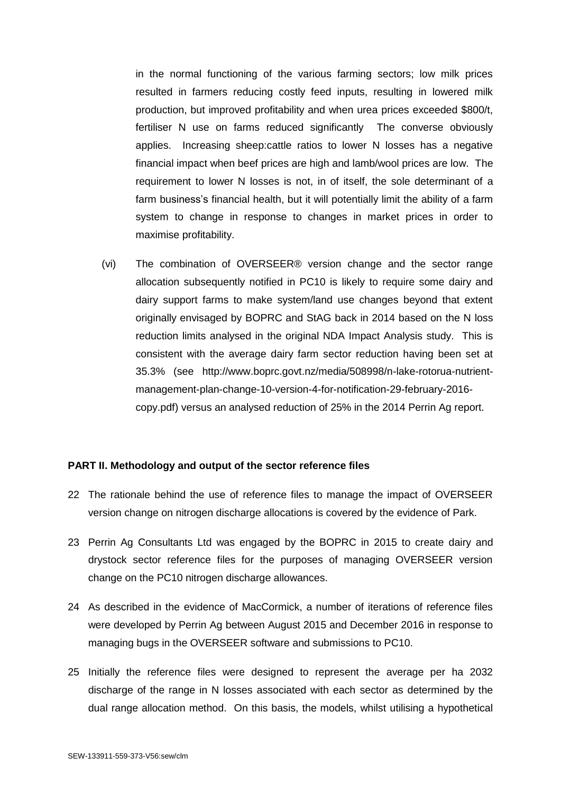in the normal functioning of the various farming sectors; low milk prices resulted in farmers reducing costly feed inputs, resulting in lowered milk production, but improved profitability and when urea prices exceeded \$800/t, fertiliser N use on farms reduced significantly The converse obviously applies. Increasing sheep:cattle ratios to lower N losses has a negative financial impact when beef prices are high and lamb/wool prices are low. The requirement to lower N losses is not, in of itself, the sole determinant of a farm business's financial health, but it will potentially limit the ability of a farm system to change in response to changes in market prices in order to maximise profitability.

(vi) The combination of OVERSEER® version change and the sector range allocation subsequently notified in PC10 is likely to require some dairy and dairy support farms to make system/land use changes beyond that extent originally envisaged by BOPRC and StAG back in 2014 based on the N loss reduction limits analysed in the original NDA Impact Analysis study. This is consistent with the average dairy farm sector reduction having been set at 35.3% (see [http://www.boprc.govt.nz/media/508998/n-lake-rotorua-nutrient](http://www.boprc.govt.nz/media/508998/n-lake-rotorua-nutrient-management-plan-change-10-version-4-for-notification-29-february-2016-copy.pdf)[management-plan-change-10-version-4-for-notification-29-february-2016](http://www.boprc.govt.nz/media/508998/n-lake-rotorua-nutrient-management-plan-change-10-version-4-for-notification-29-february-2016-copy.pdf) [copy.pdf\)](http://www.boprc.govt.nz/media/508998/n-lake-rotorua-nutrient-management-plan-change-10-version-4-for-notification-29-february-2016-copy.pdf) versus an analysed reduction of 25% in the 2014 Perrin Ag report.

#### **PART II. Methodology and output of the sector reference files**

- 22 The rationale behind the use of reference files to manage the impact of OVERSEER version change on nitrogen discharge allocations is covered by the evidence of Park.
- 23 Perrin Ag Consultants Ltd was engaged by the BOPRC in 2015 to create dairy and drystock sector reference files for the purposes of managing OVERSEER version change on the PC10 nitrogen discharge allowances.
- 24 As described in the evidence of MacCormick, a number of iterations of reference files were developed by Perrin Ag between August 2015 and December 2016 in response to managing bugs in the OVERSEER software and submissions to PC10.
- 25 Initially the reference files were designed to represent the average per ha 2032 discharge of the range in N losses associated with each sector as determined by the dual range allocation method. On this basis, the models, whilst utilising a hypothetical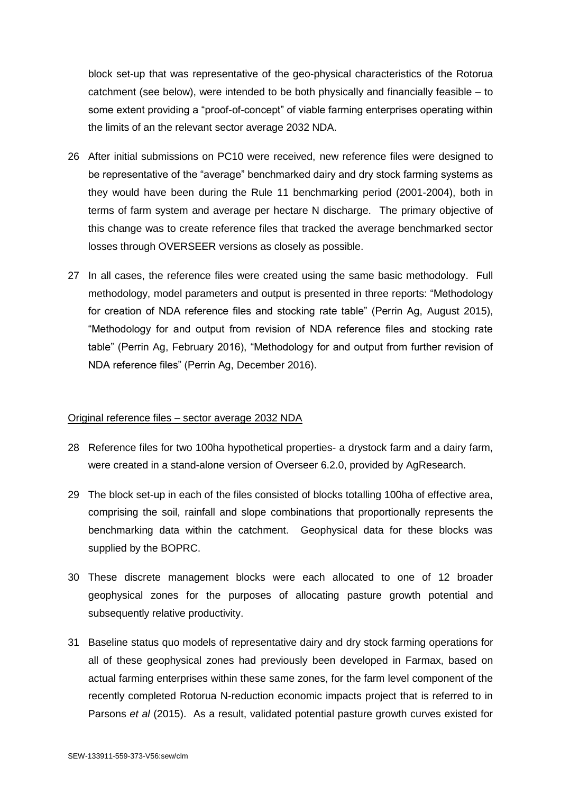block set-up that was representative of the geo-physical characteristics of the Rotorua catchment (see below), were intended to be both physically and financially feasible – to some extent providing a "proof-of-concept" of viable farming enterprises operating within the limits of an the relevant sector average 2032 NDA.

- 26 After initial submissions on PC10 were received, new reference files were designed to be representative of the "average" benchmarked dairy and dry stock farming systems as they would have been during the Rule 11 benchmarking period (2001-2004), both in terms of farm system and average per hectare N discharge. The primary objective of this change was to create reference files that tracked the average benchmarked sector losses through OVERSEER versions as closely as possible.
- 27 In all cases, the reference files were created using the same basic methodology. Full methodology, model parameters and output is presented in three reports: "Methodology for creation of NDA reference files and stocking rate table" (Perrin Ag, August 2015), "Methodology for and output from revision of NDA reference files and stocking rate table" (Perrin Ag, February 2016), "Methodology for and output from further revision of NDA reference files" (Perrin Ag, December 2016).

#### Original reference files – sector average 2032 NDA

- 28 Reference files for two 100ha hypothetical properties- a drystock farm and a dairy farm, were created in a stand-alone version of Overseer 6.2.0, provided by AgResearch.
- 29 The block set-up in each of the files consisted of blocks totalling 100ha of effective area, comprising the soil, rainfall and slope combinations that proportionally represents the benchmarking data within the catchment. Geophysical data for these blocks was supplied by the BOPRC.
- 30 These discrete management blocks were each allocated to one of 12 broader geophysical zones for the purposes of allocating pasture growth potential and subsequently relative productivity.
- 31 Baseline status quo models of representative dairy and dry stock farming operations for all of these geophysical zones had previously been developed in Farmax, based on actual farming enterprises within these same zones, for the farm level component of the recently completed Rotorua N-reduction economic impacts project that is referred to in Parsons *et al* (2015). As a result, validated potential pasture growth curves existed for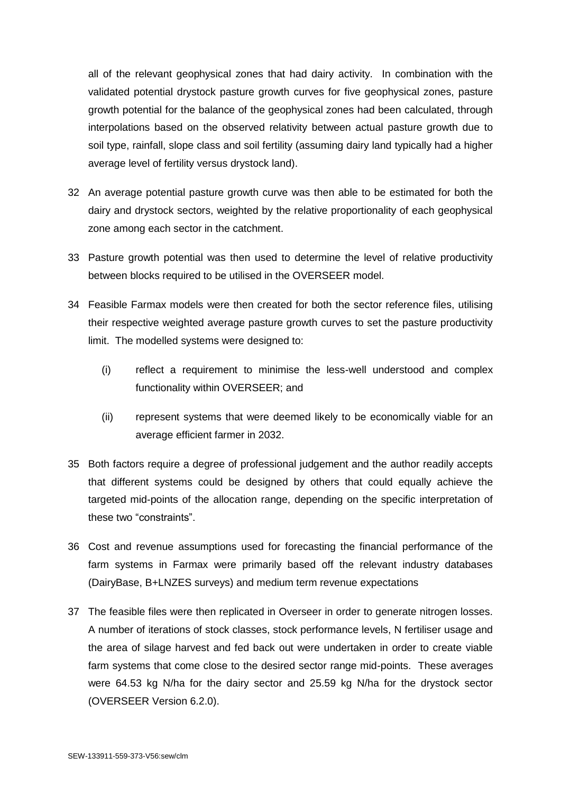all of the relevant geophysical zones that had dairy activity. In combination with the validated potential drystock pasture growth curves for five geophysical zones, pasture growth potential for the balance of the geophysical zones had been calculated, through interpolations based on the observed relativity between actual pasture growth due to soil type, rainfall, slope class and soil fertility (assuming dairy land typically had a higher average level of fertility versus drystock land).

- 32 An average potential pasture growth curve was then able to be estimated for both the dairy and drystock sectors, weighted by the relative proportionality of each geophysical zone among each sector in the catchment.
- 33 Pasture growth potential was then used to determine the level of relative productivity between blocks required to be utilised in the OVERSEER model.
- 34 Feasible Farmax models were then created for both the sector reference files, utilising their respective weighted average pasture growth curves to set the pasture productivity limit. The modelled systems were designed to:
	- (i) reflect a requirement to minimise the less-well understood and complex functionality within OVERSEER; and
	- (ii) represent systems that were deemed likely to be economically viable for an average efficient farmer in 2032.
- 35 Both factors require a degree of professional judgement and the author readily accepts that different systems could be designed by others that could equally achieve the targeted mid-points of the allocation range, depending on the specific interpretation of these two "constraints".
- 36 Cost and revenue assumptions used for forecasting the financial performance of the farm systems in Farmax were primarily based off the relevant industry databases (DairyBase, B+LNZES surveys) and medium term revenue expectations
- 37 The feasible files were then replicated in Overseer in order to generate nitrogen losses. A number of iterations of stock classes, stock performance levels, N fertiliser usage and the area of silage harvest and fed back out were undertaken in order to create viable farm systems that come close to the desired sector range mid-points. These averages were 64.53 kg N/ha for the dairy sector and 25.59 kg N/ha for the drystock sector (OVERSEER Version 6.2.0).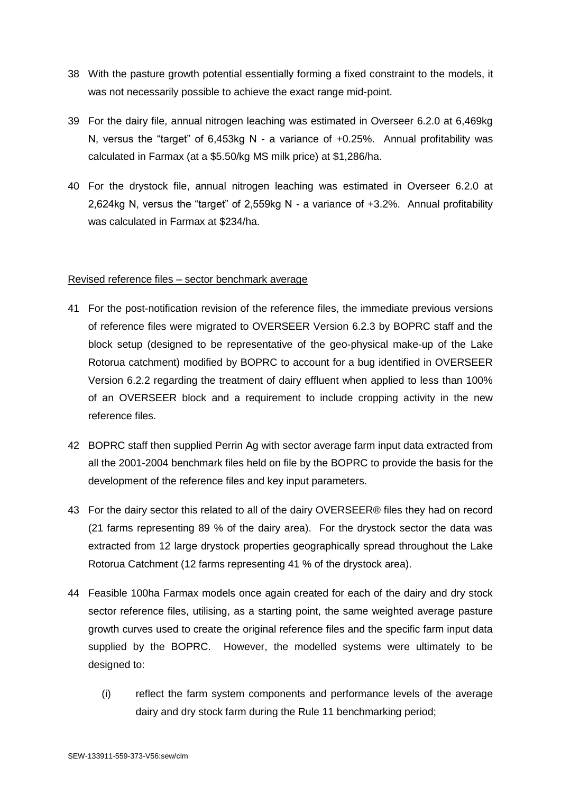- 38 With the pasture growth potential essentially forming a fixed constraint to the models, it was not necessarily possible to achieve the exact range mid-point.
- 39 For the dairy file, annual nitrogen leaching was estimated in Overseer 6.2.0 at 6,469kg N, versus the "target" of 6,453kg N - a variance of +0.25%. Annual profitability was calculated in Farmax (at a \$5.50/kg MS milk price) at \$1,286/ha.
- 40 For the drystock file, annual nitrogen leaching was estimated in Overseer 6.2.0 at 2,624kg N, versus the "target" of 2,559kg N - a variance of +3.2%. Annual profitability was calculated in Farmax at \$234/ha.

### Revised reference files – sector benchmark average

- 41 For the post-notification revision of the reference files, the immediate previous versions of reference files were migrated to OVERSEER Version 6.2.3 by BOPRC staff and the block setup (designed to be representative of the geo-physical make-up of the Lake Rotorua catchment) modified by BOPRC to account for a bug identified in OVERSEER Version 6.2.2 regarding the treatment of dairy effluent when applied to less than 100% of an OVERSEER block and a requirement to include cropping activity in the new reference files.
- 42 BOPRC staff then supplied Perrin Ag with sector average farm input data extracted from all the 2001-2004 benchmark files held on file by the BOPRC to provide the basis for the development of the reference files and key input parameters.
- 43 For the dairy sector this related to all of the dairy OVERSEER® files they had on record (21 farms representing 89 % of the dairy area). For the drystock sector the data was extracted from 12 large drystock properties geographically spread throughout the Lake Rotorua Catchment (12 farms representing 41 % of the drystock area).
- 44 Feasible 100ha Farmax models once again created for each of the dairy and dry stock sector reference files, utilising, as a starting point, the same weighted average pasture growth curves used to create the original reference files and the specific farm input data supplied by the BOPRC. However, the modelled systems were ultimately to be designed to:
	- (i) reflect the farm system components and performance levels of the average dairy and dry stock farm during the Rule 11 benchmarking period;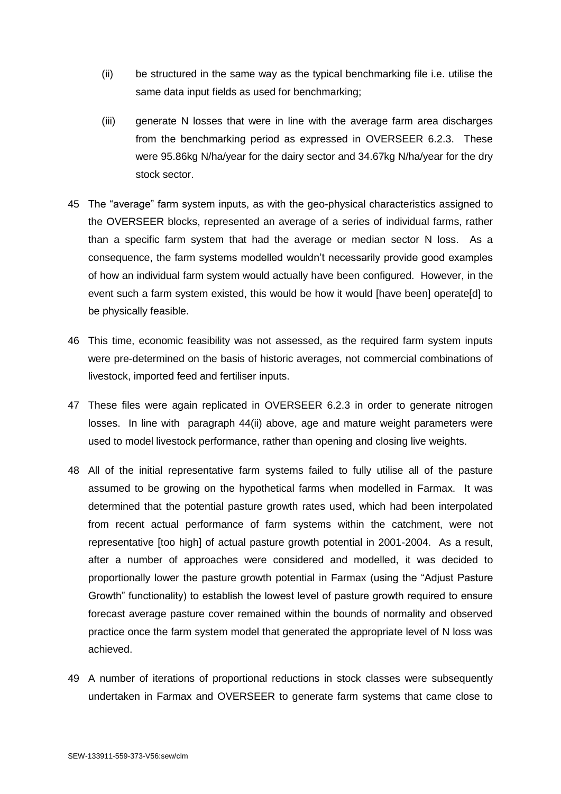- (ii) be structured in the same way as the typical benchmarking file i.e. utilise the same data input fields as used for benchmarking;
- (iii) generate N losses that were in line with the average farm area discharges from the benchmarking period as expressed in OVERSEER 6.2.3. These were 95.86kg N/ha/year for the dairy sector and 34.67kg N/ha/year for the dry stock sector.
- 45 The "average" farm system inputs, as with the geo-physical characteristics assigned to the OVERSEER blocks, represented an average of a series of individual farms, rather than a specific farm system that had the average or median sector N loss. As a consequence, the farm systems modelled wouldn't necessarily provide good examples of how an individual farm system would actually have been configured. However, in the event such a farm system existed, this would be how it would [have been] operate[d] to be physically feasible.
- 46 This time, economic feasibility was not assessed, as the required farm system inputs were pre-determined on the basis of historic averages, not commercial combinations of livestock, imported feed and fertiliser inputs.
- 47 These files were again replicated in OVERSEER 6.2.3 in order to generate nitrogen losses. In line with paragraph 44(ii) above, age and mature weight parameters were used to model livestock performance, rather than opening and closing live weights.
- 48 All of the initial representative farm systems failed to fully utilise all of the pasture assumed to be growing on the hypothetical farms when modelled in Farmax. It was determined that the potential pasture growth rates used, which had been interpolated from recent actual performance of farm systems within the catchment, were not representative [too high] of actual pasture growth potential in 2001-2004. As a result, after a number of approaches were considered and modelled, it was decided to proportionally lower the pasture growth potential in Farmax (using the "Adjust Pasture Growth" functionality) to establish the lowest level of pasture growth required to ensure forecast average pasture cover remained within the bounds of normality and observed practice once the farm system model that generated the appropriate level of N loss was achieved.
- 49 A number of iterations of proportional reductions in stock classes were subsequently undertaken in Farmax and OVERSEER to generate farm systems that came close to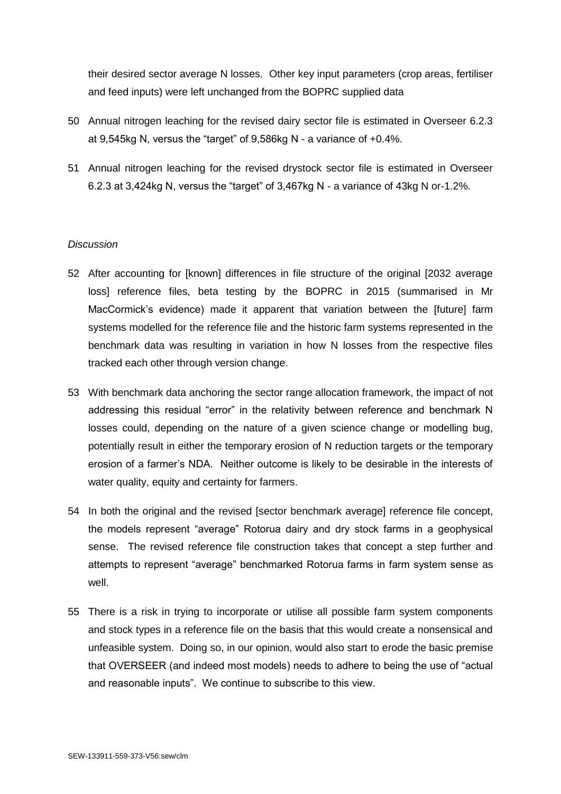their desired sector average N losses. Other key input parameters (crop areas, fertiliser and feed inputs) were left unchanged from the BOPRC supplied data

- 50 Annual nitrogen leaching for the revised dairy sector file is estimated in Overseer 6.2.3 at 9,545kg N, versus the "target" of 9,586kg N - a variance of +0.4%.
- 51 Annual nitrogen leaching for the revised drystock sector file is estimated in Overseer 6.2.3 at 3,424kg N, versus the "target" of 3,467kg N - a variance of 43kg N or-1.2%.

### *Discussion*

- 52 After accounting for [known] differences in file structure of the original [2032 average loss] reference files, beta testing by the BOPRC in 2015 (summarised in Mr MacCormick's evidence) made it apparent that variation between the [future] farm systems modelled for the reference file and the historic farm systems represented in the benchmark data was resulting in variation in how N losses from the respective files tracked each other through version change.
- 53 With benchmark data anchoring the sector range allocation framework, the impact of not addressing this residual "error" in the relativity between reference and benchmark N losses could, depending on the nature of a given science change or modelling bug, potentially result in either the temporary erosion of N reduction targets or the temporary erosion of a farmer's NDA. Neither outcome is likely to be desirable in the interests of water quality, equity and certainty for farmers.
- 54 In both the original and the revised [sector benchmark average] reference file concept, the models represent "average" Rotorua dairy and dry stock farms in a geophysical sense. The revised reference file construction takes that concept a step further and attempts to represent "average" benchmarked Rotorua farms in farm system sense as well.
- 55 There is a risk in trying to incorporate or utilise all possible farm system components and stock types in a reference file on the basis that this would create a nonsensical and unfeasible system. Doing so, in our opinion, would also start to erode the basic premise that OVERSEER (and indeed most models) needs to adhere to being the use of "actual and reasonable inputs". We continue to subscribe to this view.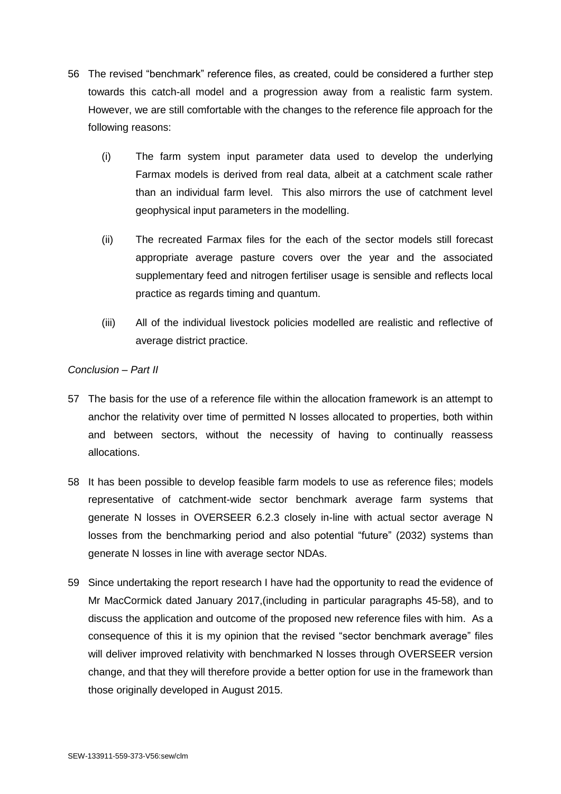- 56 The revised "benchmark" reference files, as created, could be considered a further step towards this catch-all model and a progression away from a realistic farm system. However, we are still comfortable with the changes to the reference file approach for the following reasons:
	- (i) The farm system input parameter data used to develop the underlying Farmax models is derived from real data, albeit at a catchment scale rather than an individual farm level. This also mirrors the use of catchment level geophysical input parameters in the modelling.
	- (ii) The recreated Farmax files for the each of the sector models still forecast appropriate average pasture covers over the year and the associated supplementary feed and nitrogen fertiliser usage is sensible and reflects local practice as regards timing and quantum.
	- (iii) All of the individual livestock policies modelled are realistic and reflective of average district practice.

# *Conclusion – Part II*

- 57 The basis for the use of a reference file within the allocation framework is an attempt to anchor the relativity over time of permitted N losses allocated to properties, both within and between sectors, without the necessity of having to continually reassess allocations.
- 58 It has been possible to develop feasible farm models to use as reference files; models representative of catchment-wide sector benchmark average farm systems that generate N losses in OVERSEER 6.2.3 closely in-line with actual sector average N losses from the benchmarking period and also potential "future" (2032) systems than generate N losses in line with average sector NDAs.
- 59 Since undertaking the report research I have had the opportunity to read the evidence of Mr MacCormick dated January 2017,(including in particular paragraphs 45-58), and to discuss the application and outcome of the proposed new reference files with him. As a consequence of this it is my opinion that the revised "sector benchmark average" files will deliver improved relativity with benchmarked N losses through OVERSEER version change, and that they will therefore provide a better option for use in the framework than those originally developed in August 2015.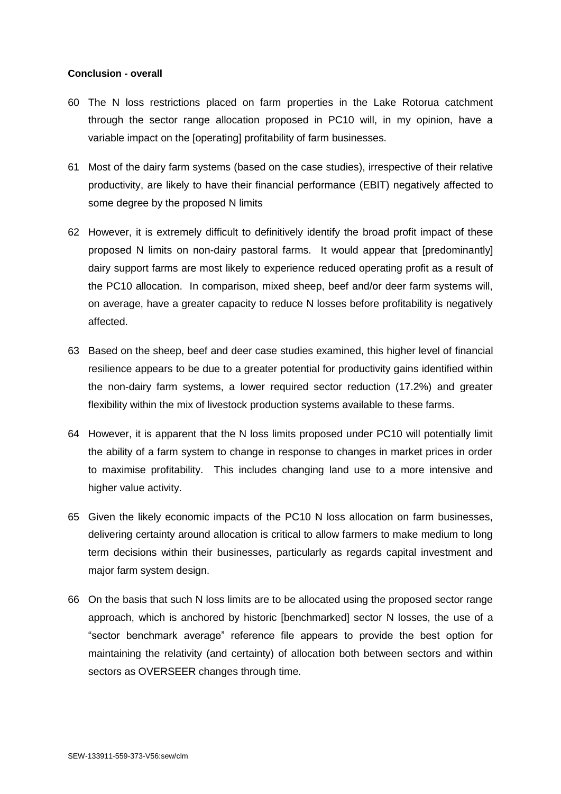#### **Conclusion - overall**

- 60 The N loss restrictions placed on farm properties in the Lake Rotorua catchment through the sector range allocation proposed in PC10 will, in my opinion, have a variable impact on the [operating] profitability of farm businesses.
- 61 Most of the dairy farm systems (based on the case studies), irrespective of their relative productivity, are likely to have their financial performance (EBIT) negatively affected to some degree by the proposed N limits
- 62 However, it is extremely difficult to definitively identify the broad profit impact of these proposed N limits on non-dairy pastoral farms. It would appear that [predominantly] dairy support farms are most likely to experience reduced operating profit as a result of the PC10 allocation. In comparison, mixed sheep, beef and/or deer farm systems will, on average, have a greater capacity to reduce N losses before profitability is negatively affected.
- 63 Based on the sheep, beef and deer case studies examined, this higher level of financial resilience appears to be due to a greater potential for productivity gains identified within the non-dairy farm systems, a lower required sector reduction (17.2%) and greater flexibility within the mix of livestock production systems available to these farms.
- 64 However, it is apparent that the N loss limits proposed under PC10 will potentially limit the ability of a farm system to change in response to changes in market prices in order to maximise profitability. This includes changing land use to a more intensive and higher value activity.
- 65 Given the likely economic impacts of the PC10 N loss allocation on farm businesses, delivering certainty around allocation is critical to allow farmers to make medium to long term decisions within their businesses, particularly as regards capital investment and major farm system design.
- 66 On the basis that such N loss limits are to be allocated using the proposed sector range approach, which is anchored by historic [benchmarked] sector N losses, the use of a "sector benchmark average" reference file appears to provide the best option for maintaining the relativity (and certainty) of allocation both between sectors and within sectors as OVERSEER changes through time.